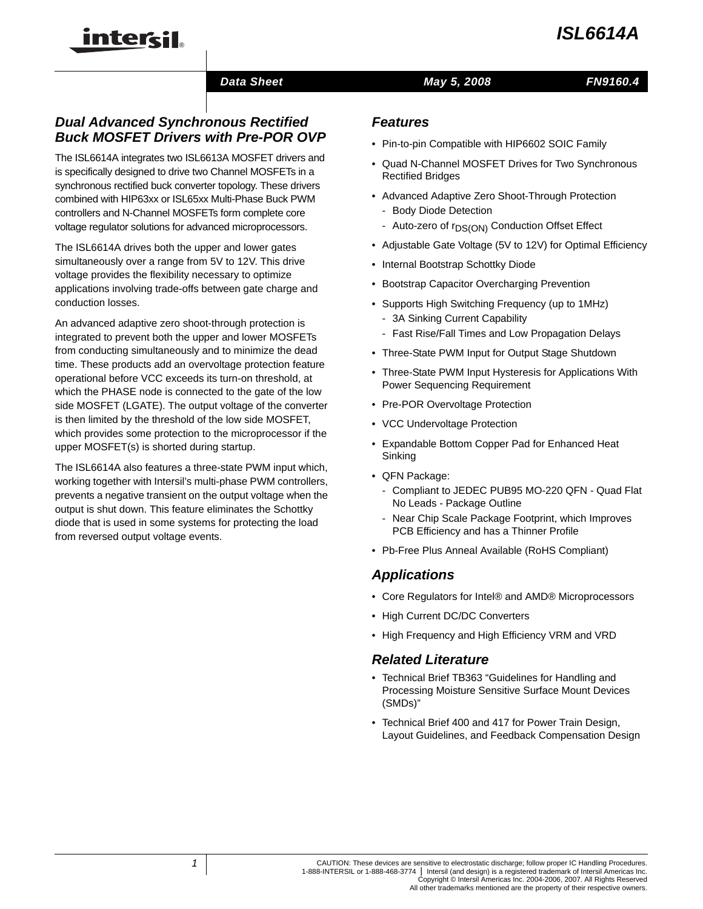## *Data Sheet May 5, 2008*

## *Dual Advanced Synchronous Rectified Buck MOSFET Drivers with Pre-POR OVP*

inter<del>cil</del>

The ISL6614A integrates two ISL6613A MOSFET drivers and is specifically designed to drive two Channel MOSFETs in a synchronous rectified buck converter topology. These drivers combined with HIP63xx or ISL65xx Multi-Phase Buck PWM controllers and N-Channel MOSFETs form complete core voltage regulator solutions for advanced microprocessors.

The ISL6614A drives both the upper and lower gates simultaneously over a range from 5V to 12V. This drive voltage provides the flexibility necessary to optimize applications involving trade-offs between gate charge and conduction losses.

An advanced adaptive zero shoot-through protection is integrated to prevent both the upper and lower MOSFETs from conducting simultaneously and to minimize the dead time. These products add an overvoltage protection feature operational before VCC exceeds its turn-on threshold, at which the PHASE node is connected to the gate of the low side MOSFET (LGATE). The output voltage of the converter is then limited by the threshold of the low side MOSFET, which provides some protection to the microprocessor if the upper MOSFET(s) is shorted during startup.

The ISL6614A also features a three-state PWM input which, working together with Intersil's multi-phase PWM controllers, prevents a negative transient on the output voltage when the output is shut down. This feature eliminates the Schottky diode that is used in some systems for protecting the load from reversed output voltage events.

### *Features*

- Pin-to-pin Compatible with HIP6602 SOIC Family
- Quad N-Channel MOSFET Drives for Two Synchronous Rectified Bridges
- Advanced Adaptive Zero Shoot-Through Protection
	- Body Diode Detection
	- Auto-zero of r<sub>DS(ON)</sub> Conduction Offset Effect
- Adjustable Gate Voltage (5V to 12V) for Optimal Efficiency
- Internal Bootstrap Schottky Diode
- Bootstrap Capacitor Overcharging Prevention
- Supports High Switching Frequency (up to 1MHz)
	- 3A Sinking Current Capability
	- Fast Rise/Fall Times and Low Propagation Delays
- Three-State PWM Input for Output Stage Shutdown
- Three-State PWM Input Hysteresis for Applications With Power Sequencing Requirement
- Pre-POR Overvoltage Protection
- VCC Undervoltage Protection
- Expandable Bottom Copper Pad for Enhanced Heat Sinking
- QFN Package:
	- Compliant to JEDEC PUB95 MO-220 QFN Quad Flat No Leads - Package Outline
	- Near Chip Scale Package Footprint, which Improves PCB Efficiency and has a Thinner Profile
- Pb-Free Plus Anneal Available (RoHS Compliant)

## *Applications*

- Core Regulators for Intel® and AMD® Microprocessors
- High Current DC/DC Converters
- High Frequency and High Efficiency VRM and VRD

## *Related Literature*

- Technical Brief TB363 "Guidelines for Handling and Processing Moisture Sensitive Surface Mount Devices (SMDs)"
- Technical Brief 400 and 417 for Power Train Design, Layout Guidelines, and Feedback Compensation Design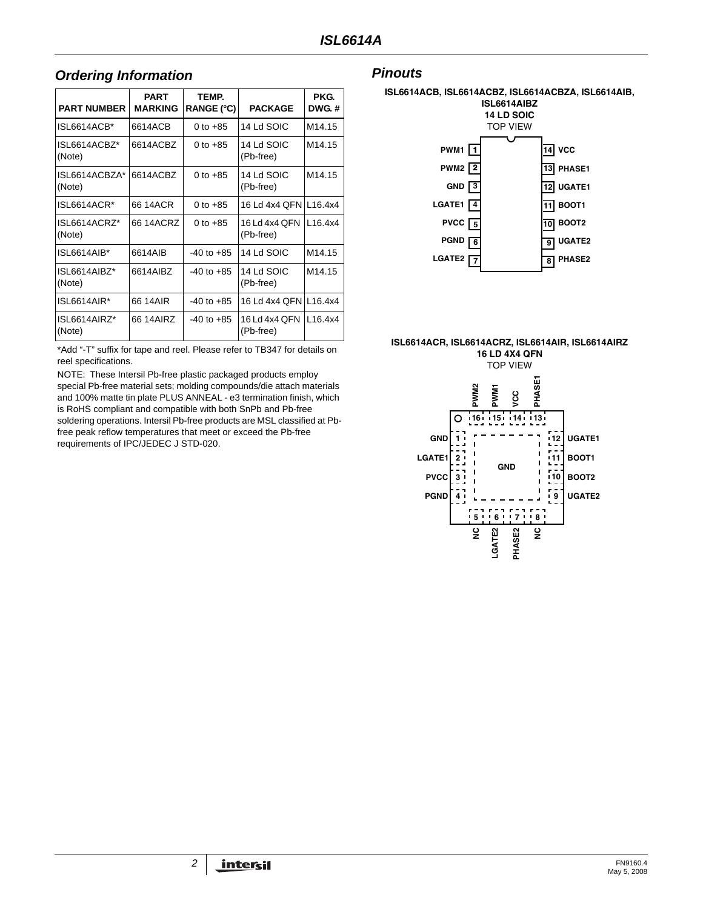## *Ordering Information Pinouts*

| <b>PART NUMBER</b>      | <b>PART</b><br><b>MARKING</b> | TEMP.<br>RANGE (°C) | <b>PACKAGE</b>             | PKG.<br><b>DWG.#</b> |
|-------------------------|-------------------------------|---------------------|----------------------------|----------------------|
| ISL6614ACB*             | 6614ACB                       | 0 to $+85$          | 14 Ld SOIC                 | M <sub>14.15</sub>   |
| ISL6614ACBZ*<br>(Note)  | 6614ACBZ                      | 0 to $+85$          | 14 Ld SOIC<br>(Pb-free)    | M <sub>14</sub> .15  |
| ISL6614ACBZA*<br>(Note) | 6614ACBZ                      | 0 to $+85$          | 14 Ld SOIC<br>(Pb-free)    | M <sub>14.15</sub>   |
| ISL6614ACR*             | 66 14ACR                      | 0 to $+85$          | 16 Ld 4x4 QFN L16.4x4      |                      |
| ISL6614ACRZ*<br>(Note)  | 66 14ACRZ                     | 0 to $+85$          | 16 Ld 4x4 QFN<br>(Pb-free) | L16.4x4              |
| ISL6614AIB*             | 6614AIB                       | $-40$ to $+85$      | 14 Ld SOIC                 | M <sub>14.15</sub>   |
| ISL6614AIBZ*<br>(Note)  | 6614AIBZ                      | $-40$ to $+85$      | 14 Ld SOIC<br>(Pb-free)    | M <sub>14.15</sub>   |
| ISL6614AIR*             | 66 14AIR                      | $-40$ to $+85$      | 16 Ld 4x4 QFN L16.4x4      |                      |
| ISL6614AIRZ*<br>(Note)  | 66 14AIRZ                     | $-40$ to $+85$      | 16 Ld 4x4 QFN<br>(Pb-free) | L16.4x4              |

[\\*Add "-T" suffix for tape and reel. Please refer to TB347 for details on](http://www.intersil.com/data/tb/tb347.pdf)  reel specifications.

NOTE: These Intersil Pb-free plastic packaged products employ special Pb-free material sets; molding compounds/die attach materials and 100% matte tin plate PLUS ANNEAL - e3 termination finish, which is RoHS compliant and compatible with both SnPb and Pb-free soldering operations. Intersil Pb-free products are MSL classified at Pbfree peak reflow temperatures that meet or exceed the Pb-free requirements of IPC/JEDEC J STD-020.





#### **ISL6614ACR, ISL6614ACRZ, ISL6614AIR, ISL6614AIRZ 16 LD 4X4 QFN**

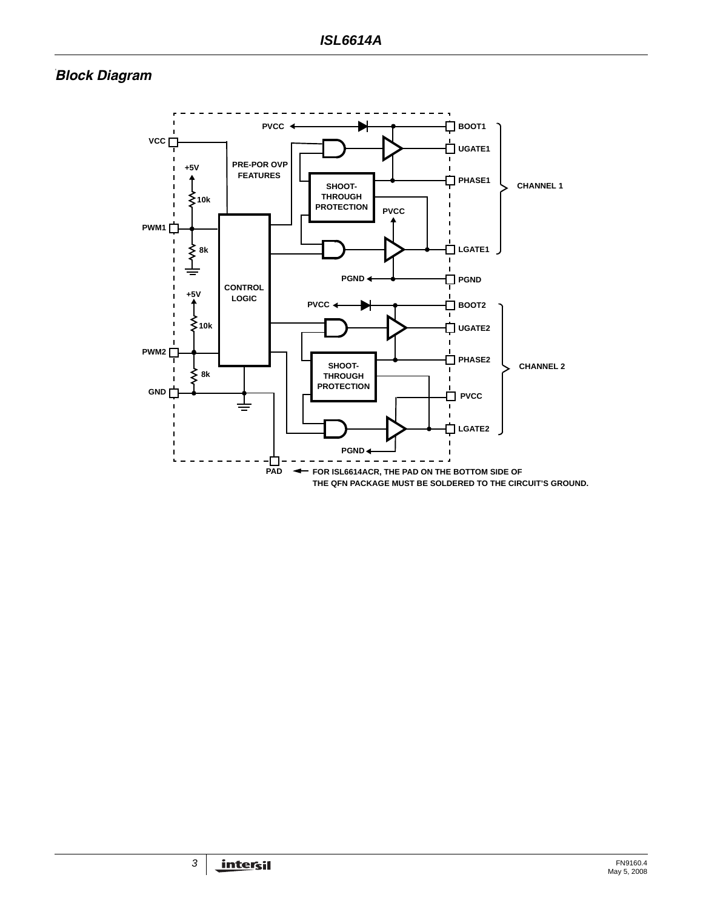# **Block Diagram**

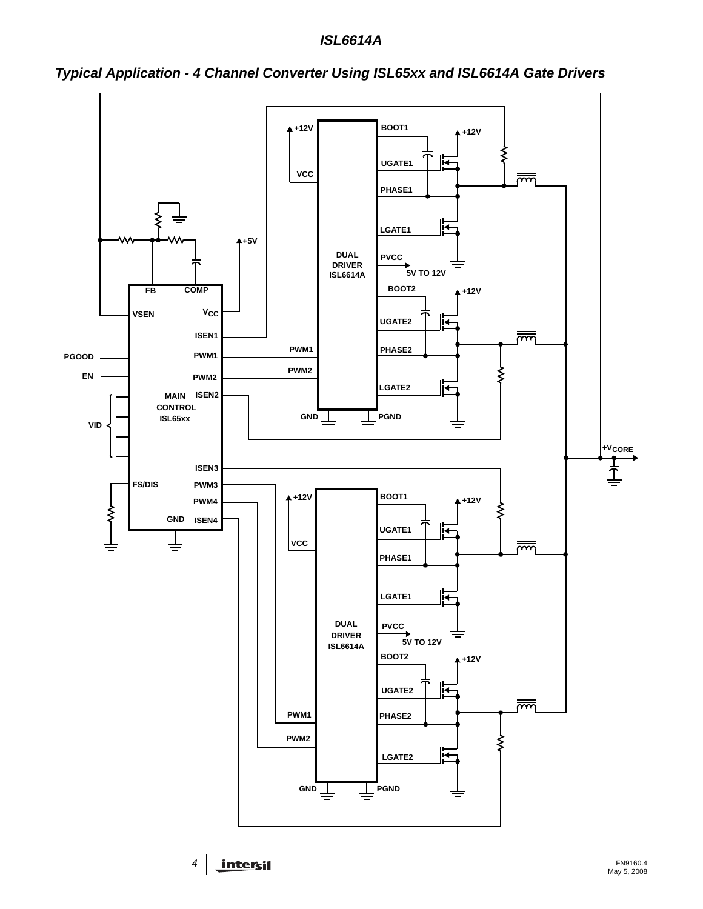

*Typical Application - 4 Channel Converter Using ISL65xx and ISL6614A Gate Drivers*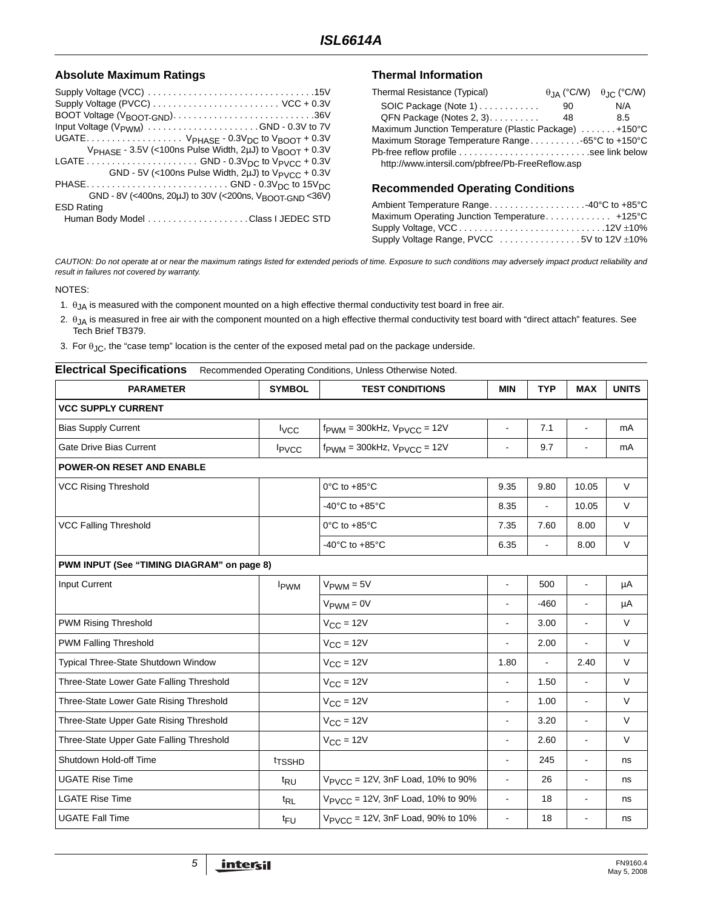#### Absolute Maximum Ratings **Thermal Information**

| Supply Voltage (PVCC)  VCC + 0.3V                                               |
|---------------------------------------------------------------------------------|
| BOOT Voltage (V <sub>BOOT</sub> -GND)36V                                        |
|                                                                                 |
| UGATE $V_{PHASE}$ - 0.3 $V_{DC}$ to $V_{BOOT}$ + 0.3V                           |
| V <sub>PHASE</sub> - 3.5V (<100ns Pulse Width, 2uJ) to V <sub>BOOT</sub> + 0.3V |
|                                                                                 |
| GND - 5V (<100ns Pulse Width, 2uJ) to $V_{PVCC}$ + 0.3V                         |
| PHASEGND - 0.3V <sub>DC</sub> to 15V <sub>DC</sub>                              |
| GND - 8V (<400ns, 20µJ) to 30V (<200ns, V <sub>BOOT-GND</sub> <36V)             |
| <b>ESD Rating</b>                                                               |
|                                                                                 |

| Thermal Resistance (Typical)                          |    | $\theta$ IA (°C/W) $\theta$ IC (°C/W) |
|-------------------------------------------------------|----|---------------------------------------|
| SOIC Package (Note 1)                                 | 90 | N/A                                   |
| QFN Package (Notes 2, 3).                             | 48 | 8.5                                   |
| Maximum Junction Temperature (Plastic Package) +150°C |    |                                       |
|                                                       |    |                                       |
| Pb-free reflow profile see link below                 |    |                                       |
| http://www.intersil.com/pbfree/Pb-FreeReflow.asp      |    |                                       |

#### **Recommended Operating Conditions**

| Ambient Temperature Range40°C to +85°C        |  |
|-----------------------------------------------|--|
| Maximum Operating Junction Temperature +125°C |  |
|                                               |  |
| Supply Voltage Range, PVCC 5V to 12V ±10%     |  |

*CAUTION: Do not operate at or near the maximum ratings listed for extended periods of time. Exposure to such conditions may adversely impact product reliability and result in failures not covered by warranty.*

NOTES:

- 1.  $\theta_{JA}$  is measured with the component mounted on a high effective thermal conductivity test board in free air.
- 2.  $\theta_{JA}$  is measured in free air with the component mounted on a high effective thermal conductivity test board with "direct attach" features. See Tech Brief TB379.
- 3. For  $\theta_{JC}$ , the "case temp" location is the center of the exposed metal pad on the package underside.

<span id="page-4-1"></span><span id="page-4-0"></span>

| <b>Electrical Specifications</b><br>Recommended Operating Conditions, Unless Otherwise Noted. |                         |                                                     |                      |                          |                          |              |  |  |
|-----------------------------------------------------------------------------------------------|-------------------------|-----------------------------------------------------|----------------------|--------------------------|--------------------------|--------------|--|--|
| <b>PARAMETER</b>                                                                              | <b>SYMBOL</b>           | <b>TEST CONDITIONS</b>                              | <b>MIN</b>           | <b>TYP</b>               | <b>MAX</b>               | <b>UNITS</b> |  |  |
| <b>VCC SUPPLY CURRENT</b>                                                                     |                         |                                                     |                      |                          |                          |              |  |  |
| <b>Bias Supply Current</b>                                                                    | $I_{VCC}$               | $f_{\text{PWM}} = 300$ kHz, $V_{\text{PVCC}} = 12V$ | $\blacksquare$       | 7.1                      | $\blacksquare$           | mA           |  |  |
| <b>Gate Drive Bias Current</b>                                                                | IPVCC                   | $f_{\text{PWM}} = 300$ kHz, $V_{\text{PVCC}} = 12V$ | $\blacksquare$       | 9.7                      | $\overline{a}$           | mA           |  |  |
| <b>POWER-ON RESET AND ENABLE</b>                                                              |                         |                                                     |                      |                          |                          |              |  |  |
| <b>VCC Rising Threshold</b>                                                                   |                         | 0°C to +85°C                                        | 9.35                 | 9.80                     | 10.05                    | $\vee$       |  |  |
|                                                                                               |                         | -40 $^{\circ}$ C to +85 $^{\circ}$ C                | 8.35                 |                          | 10.05                    | V            |  |  |
| <b>VCC Falling Threshold</b>                                                                  |                         | 0°C to +85°C                                        | 7.35                 | 7.60                     | 8.00                     | $\vee$       |  |  |
|                                                                                               |                         | -40 $^{\circ}$ C to +85 $^{\circ}$ C                | 6.35                 | $\overline{\phantom{a}}$ | 8.00                     | $\vee$       |  |  |
| PWM INPUT (See "TIMING DIAGRAM" on page 8)                                                    |                         |                                                     |                      |                          |                          |              |  |  |
| <b>Input Current</b>                                                                          | <b>I</b> <sub>PWM</sub> | $V_{\text{PWM}} = 5V$                               | $\ddot{\phantom{a}}$ | 500                      | $\blacksquare$           | μA           |  |  |
|                                                                                               |                         | $V_{\text{PWM}} = 0V$                               |                      | $-460$                   | $\blacksquare$           | μA           |  |  |
| <b>PWM Rising Threshold</b>                                                                   |                         | $V_{CC}$ = 12V                                      | $\blacksquare$       | 3.00                     | $\blacksquare$           | $\vee$       |  |  |
| <b>PWM Falling Threshold</b>                                                                  |                         | $V_{CC} = 12V$                                      |                      | 2.00                     | $\blacksquare$           | V            |  |  |
| Typical Three-State Shutdown Window                                                           |                         | $V_{CC}$ = 12V                                      | 1.80                 | $\blacksquare$           | 2.40                     | $\vee$       |  |  |
| Three-State Lower Gate Falling Threshold                                                      |                         | $V_{CC} = 12V$                                      | $\blacksquare$       | 1.50                     | $\blacksquare$           | $\vee$       |  |  |
| Three-State Lower Gate Rising Threshold                                                       |                         | $V_{CC} = 12V$                                      | $\blacksquare$       | 1.00                     | $\blacksquare$           | $\vee$       |  |  |
| Three-State Upper Gate Rising Threshold                                                       |                         | $V_{CC}$ = 12V                                      |                      | 3.20                     | $\overline{a}$           | $\vee$       |  |  |
| Three-State Upper Gate Falling Threshold                                                      |                         | $V_{CC} = 12V$                                      |                      | 2.60                     | $\overline{\phantom{a}}$ | $\vee$       |  |  |
| Shutdown Hold-off Time                                                                        | <sup>t</sup> TSSHD      |                                                     | $\blacksquare$       | 245                      | $\overline{\phantom{a}}$ | ns           |  |  |
| <b>UGATE Rise Time</b>                                                                        | t <sub>RU</sub>         | V <sub>PVCC</sub> = 12V, 3nF Load, 10% to 90%       | $\blacksquare$       | 26                       | $\overline{\phantom{a}}$ | ns           |  |  |
| <b>LGATE Rise Time</b>                                                                        | $t_{RL}$                | V <sub>PVCC</sub> = 12V, 3nF Load, 10% to 90%       | $\blacksquare$       | 18                       | $\blacksquare$           | ns           |  |  |
| <b>UGATE Fall Time</b>                                                                        | <sup>t</sup> FU         | V <sub>PVCC</sub> = 12V, 3nF Load, 90% to 10%       | $\blacksquare$       | 18                       | $\blacksquare$           | ns           |  |  |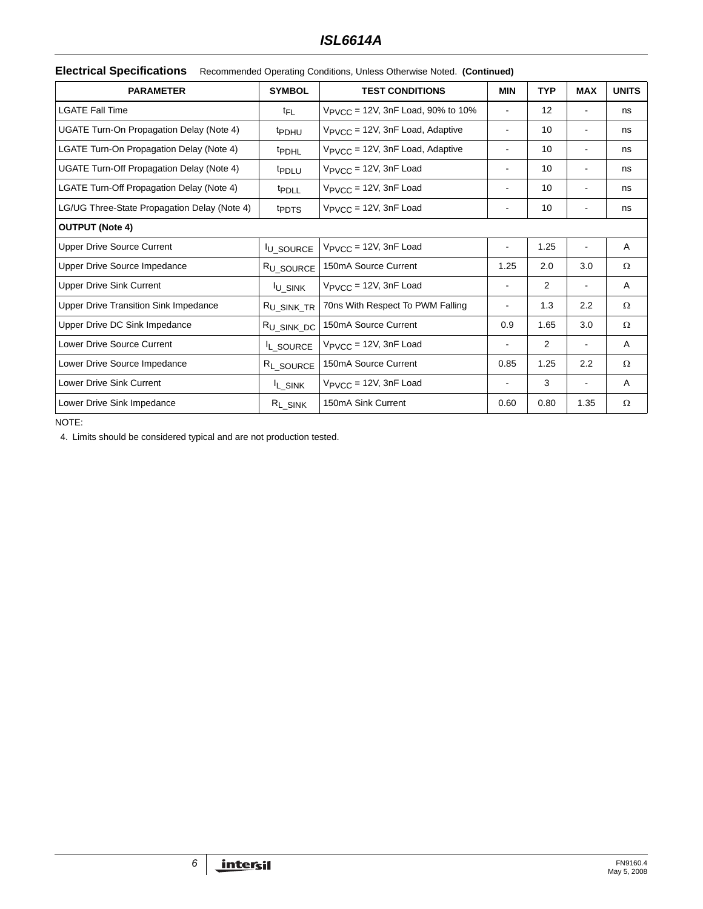## *ISL6614A*

### **Electrical Specifications** Recommended Operating Conditions, Unless Otherwise Noted. **(Continued)**

<span id="page-5-1"></span>

| <b>PARAMETER</b>                             | <b>SYMBOL</b>          | <b>TEST CONDITIONS</b>                        | <b>MIN</b>               | <b>TYP</b>        | <b>MAX</b>                   | <b>UNITS</b> |
|----------------------------------------------|------------------------|-----------------------------------------------|--------------------------|-------------------|------------------------------|--------------|
| <b>LGATE Fall Time</b>                       | t <sub>FL</sub>        | $V_{\text{PVCC}}$ = 12V, 3nF Load, 90% to 10% |                          | $12 \overline{ }$ |                              | ns           |
| UGATE Turn-On Propagation Delay (Note 4)     | <sup>t</sup> PDHU      | $V_{\text{PVCC}}$ = 12V, 3nF Load, Adaptive   | $\overline{\phantom{a}}$ | 10                | ۰                            | ns           |
| LGATE Turn-On Propagation Delay (Note 4)     | <sup>t</sup> PDHL      | V <sub>PVCC</sub> = 12V, 3nF Load, Adaptive   |                          | 10                | $\qquad \qquad \blacksquare$ | ns           |
| UGATE Turn-Off Propagation Delay (Note 4)    | <sup>t</sup> PDLU      | $V_{\text{PVCC}}$ = 12V, 3nF Load             | $\blacksquare$           | 10                | ۰                            | ns           |
| LGATE Turn-Off Propagation Delay (Note 4)    | <sup>t</sup> PDLL      | $V_{\text{PVCC}}$ = 12V, 3nF Load             | $\overline{\phantom{a}}$ | 10                | $\blacksquare$               | ns           |
| LG/UG Three-State Propagation Delay (Note 4) | <sup>t</sup> PDTS      | $V_{\text{PVCC}} = 12V$ , 3nF Load            |                          | 10                |                              | ns           |
| <b>OUTPUT (Note 4)</b>                       |                        |                                               |                          |                   |                              |              |
| <b>Upper Drive Source Current</b>            | <b>IU_SOURCE</b>       | $V_{\text{PVCC}} = 12V$ , 3nF Load            | $\overline{\phantom{a}}$ | 1.25              |                              | A            |
| Upper Drive Source Impedance                 | R <sub>U_SOURCE</sub>  | 150mA Source Current                          | 1.25                     | 2.0               | 3.0                          | Ω            |
| <b>Upper Drive Sink Current</b>              | <sup>I</sup> U_SINK    | $V_{\text{PVCC}}$ = 12V, 3nF Load             | $\overline{\phantom{a}}$ | 2                 | $\blacksquare$               | A            |
| <b>Upper Drive Transition Sink Impedance</b> | R <sub>U_SINK_TR</sub> | 70ns With Respect To PWM Falling              | $\blacksquare$           | 1.3               | 2.2                          | Ω            |
| Upper Drive DC Sink Impedance                | R <sub>U_SINK_DC</sub> | 150mA Source Current                          | 0.9                      | 1.65              | 3.0                          | Ω            |
| Lower Drive Source Current                   | IL_SOURCE              | $V_{\text{PVCC}}$ = 12V, 3nF Load             |                          | 2                 |                              | A            |
| Lower Drive Source Impedance                 | R <sub>L_SOURCE</sub>  | 150mA Source Current                          | 0.85                     | 1.25              | 2.2                          | Ω            |
| <b>Lower Drive Sink Current</b>              | <sup>I</sup> L_SINK    | $V_{\text{PVCC}}$ = 12V, 3nF Load             |                          | 3                 | $\qquad \qquad \blacksquare$ | Α            |
| Lower Drive Sink Impedance                   | $R_{L_SINK}$           | 150mA Sink Current                            | 0.60                     | 0.80              | 1.35                         | Ω            |

NOTE:

<span id="page-5-0"></span>4. Limits should be considered typical and are not production tested.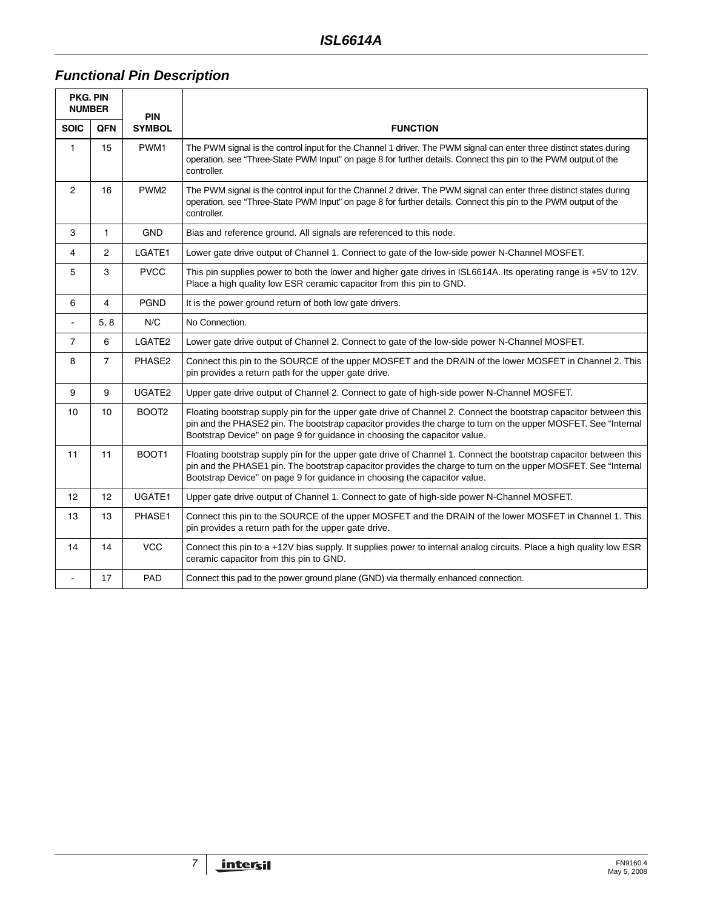# *Functional Pin Description*

| <b>PKG. PIN</b><br><b>NUMBER</b><br><b>PIN</b> |                 |                   |                                                                                                                                                                                                                                                                                                                  |
|------------------------------------------------|-----------------|-------------------|------------------------------------------------------------------------------------------------------------------------------------------------------------------------------------------------------------------------------------------------------------------------------------------------------------------|
| <b>SOIC</b>                                    | <b>QFN</b>      | <b>SYMBOL</b>     | <b>FUNCTION</b>                                                                                                                                                                                                                                                                                                  |
| $\mathbf{1}$                                   | 15              | PWM1              | The PWM signal is the control input for the Channel 1 driver. The PWM signal can enter three distinct states during<br>operation, see "Three-State PWM Input" on page 8 for further details. Connect this pin to the PWM output of the<br>controller.                                                            |
| $\overline{2}$                                 | 16              | PWM <sub>2</sub>  | The PWM signal is the control input for the Channel 2 driver. The PWM signal can enter three distinct states during<br>operation, see "Three-State PWM Input" on page 8 for further details. Connect this pin to the PWM output of the<br>controller.                                                            |
| 3                                              | $\mathbf{1}$    | <b>GND</b>        | Bias and reference ground. All signals are referenced to this node.                                                                                                                                                                                                                                              |
| 4                                              | $\overline{2}$  | LGATE1            | Lower gate drive output of Channel 1. Connect to gate of the low-side power N-Channel MOSFET.                                                                                                                                                                                                                    |
| 5                                              | 3               | <b>PVCC</b>       | This pin supplies power to both the lower and higher gate drives in ISL6614A. Its operating range is +5V to 12V.<br>Place a high quality low ESR ceramic capacitor from this pin to GND.                                                                                                                         |
| 6                                              | 4               | <b>PGND</b>       | It is the power ground return of both low gate drivers.                                                                                                                                                                                                                                                          |
| $\blacksquare$                                 | 5, 8            | N/C               | No Connection.                                                                                                                                                                                                                                                                                                   |
| $\overline{7}$                                 | 6               | LGATE2            | Lower gate drive output of Channel 2. Connect to gate of the low-side power N-Channel MOSFET.                                                                                                                                                                                                                    |
| 8                                              | $\overline{7}$  | PHASE2            | Connect this pin to the SOURCE of the upper MOSFET and the DRAIN of the lower MOSFET in Channel 2. This<br>pin provides a return path for the upper gate drive.                                                                                                                                                  |
| 9                                              | 9               | UGATE2            | Upper gate drive output of Channel 2. Connect to gate of high-side power N-Channel MOSFET.                                                                                                                                                                                                                       |
| 10                                             | 10              | BOOT <sub>2</sub> | Floating bootstrap supply pin for the upper gate drive of Channel 2. Connect the bootstrap capacitor between this<br>pin and the PHASE2 pin. The bootstrap capacitor provides the charge to turn on the upper MOSFET. See "Internal<br>Bootstrap Device" on page 9 for guidance in choosing the capacitor value. |
| 11                                             | 11              | BOOT1             | Floating bootstrap supply pin for the upper gate drive of Channel 1. Connect the bootstrap capacitor between this<br>pin and the PHASE1 pin. The bootstrap capacitor provides the charge to turn on the upper MOSFET. See "Internal<br>Bootstrap Device" on page 9 for guidance in choosing the capacitor value. |
| 12 <sup>2</sup>                                | 12 <sup>2</sup> | UGATE1            | Upper gate drive output of Channel 1. Connect to gate of high-side power N-Channel MOSFET.                                                                                                                                                                                                                       |
| 13                                             | 13              | PHASE1            | Connect this pin to the SOURCE of the upper MOSFET and the DRAIN of the lower MOSFET in Channel 1. This<br>pin provides a return path for the upper gate drive.                                                                                                                                                  |
| 14                                             | 14              | <b>VCC</b>        | Connect this pin to a +12V bias supply. It supplies power to internal analog circuits. Place a high quality low ESR<br>ceramic capacitor from this pin to GND.                                                                                                                                                   |
| $\overline{a}$                                 | 17              | PAD               | Connect this pad to the power ground plane (GND) via thermally enhanced connection.                                                                                                                                                                                                                              |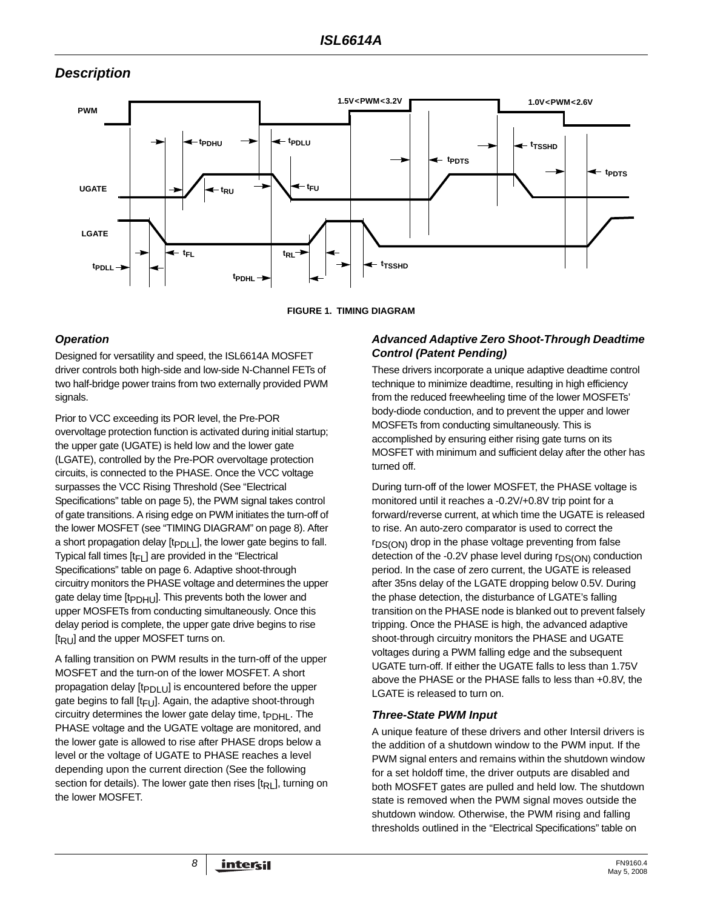# *Description*



**FIGURE 1. TIMING DIAGRAM**

## <span id="page-7-0"></span>*Operation*

Designed for versatility and speed, the ISL6614A MOSFET driver controls both high-side and low-side N-Channel FETs of two half-bridge power trains from two externally provided PWM signals.

Prior to VCC exceeding its POR level, the Pre-POR overvoltage protection function is activated during initial startup; the upper gate (UGATE) is held low and the lower gate (LGATE), controlled by the Pre-POR overvoltage protection circuits, is connected to the PHASE. Once the VCC voltage surpasses the VCC Rising Threshold (See "Electrical Specifications" table on page [5\)](#page-4-0), the PWM signal takes control of gate transitions. A rising edge on PWM initiates the turn-off of the lower MOSFET (see ["TIMING DIAGRAM" on page 8\)](#page-7-0). After a short propagation delay  $[t_{PDI}$ <sub>1</sub>], the lower gate begins to fall. Typical fall times  $[t_F]$  are provided in the "Electrical Specifications" table on page [6.](#page-5-1) Adaptive shoot-through circuitry monitors the PHASE voltage and determines the upper gate delay time [t<sub>PDHU</sub>]. This prevents both the lower and upper MOSFETs from conducting simultaneously. Once this delay period is complete, the upper gate drive begins to rise  $[t_{\mathsf{R}}]$  and the upper MOSFET turns on.

A falling transition on PWM results in the turn-off of the upper MOSFET and the turn-on of the lower MOSFET. A short propagation delay  $[t_{PDU}]$  is encountered before the upper gate begins to fall  $[t_{FU}]$ . Again, the adaptive shoot-through circuitry determines the lower gate delay time,  $t_{\text{PDHI}}$ . The PHASE voltage and the UGATE voltage are monitored, and the lower gate is allowed to rise after PHASE drops below a level or the voltage of UGATE to PHASE reaches a level depending upon the current direction (See the following section for details). The lower gate then rises [tRL], turning on the lower MOSFET.

### *Advanced Adaptive Zero Shoot-Through Deadtime Control (Patent Pending)*

These drivers incorporate a unique adaptive deadtime control technique to minimize deadtime, resulting in high efficiency from the reduced freewheeling time of the lower MOSFETs' body-diode conduction, and to prevent the upper and lower MOSFETs from conducting simultaneously. This is accomplished by ensuring either rising gate turns on its MOSFET with minimum and sufficient delay after the other has turned off.

During turn-off of the lower MOSFET, the PHASE voltage is monitored until it reaches a -0.2V/+0.8V trip point for a forward/reverse current, at which time the UGATE is released to rise. An auto-zero comparator is used to correct the r<sub>DS(ON)</sub> drop in the phase voltage preventing from false detection of the -0.2V phase level during  $r_{DS(ON)}$  conduction period. In the case of zero current, the UGATE is released after 35ns delay of the LGATE dropping below 0.5V. During the phase detection, the disturbance of LGATE's falling transition on the PHASE node is blanked out to prevent falsely tripping. Once the PHASE is high, the advanced adaptive shoot-through circuitry monitors the PHASE and UGATE voltages during a PWM falling edge and the subsequent UGATE turn-off. If either the UGATE falls to less than 1.75V above the PHASE or the PHASE falls to less than +0.8V, the LGATE is released to turn on.

## <span id="page-7-1"></span>*Three-State PWM Input*

A unique feature of these drivers and other Intersil drivers is the addition of a shutdown window to the PWM input. If the PWM signal enters and remains within the shutdown window for a set holdoff time, the driver outputs are disabled and both MOSFET gates are pulled and held low. The shutdown state is removed when the PWM signal moves outside the shutdown window. Otherwise, the PWM rising and falling thresholds outlined in the "Electrical Specifications" table on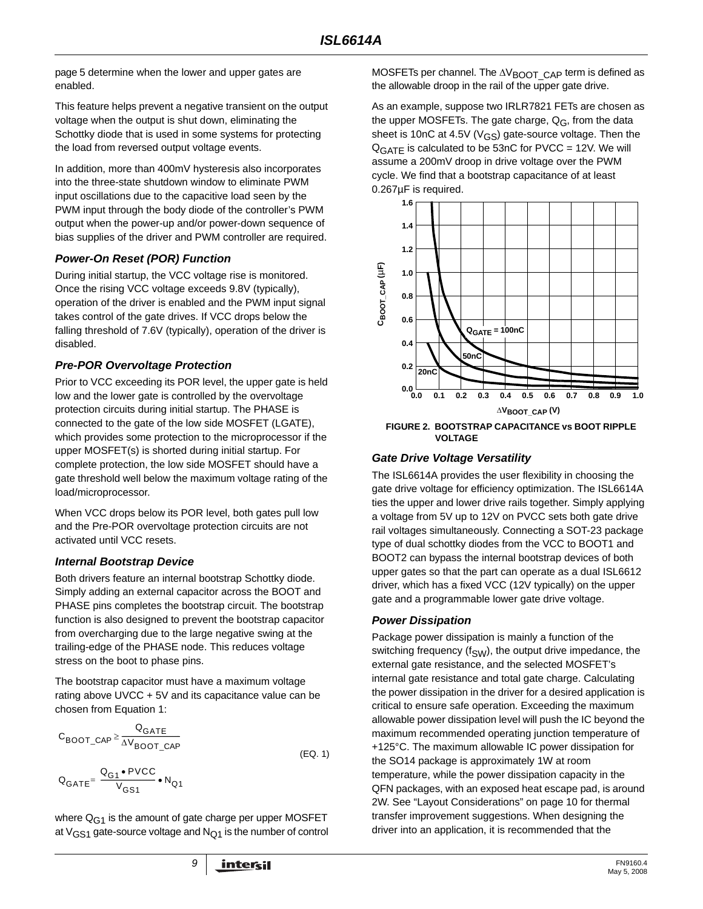page [5](#page-4-1) determine when the lower and upper gates are enabled.

This feature helps prevent a negative transient on the output voltage when the output is shut down, eliminating the Schottky diode that is used in some systems for protecting the load from reversed output voltage events.

In addition, more than 400mV hysteresis also incorporates into the three-state shutdown window to eliminate PWM input oscillations due to the capacitive load seen by the PWM input through the body diode of the controller's PWM output when the power-up and/or power-down sequence of bias supplies of the driver and PWM controller are required.

#### *Power-On Reset (POR) Function*

During initial startup, the VCC voltage rise is monitored. Once the rising VCC voltage exceeds 9.8V (typically), operation of the driver is enabled and the PWM input signal takes control of the gate drives. If VCC drops below the falling threshold of 7.6V (typically), operation of the driver is disabled.

### *Pre-POR Overvoltage Protection*

Prior to VCC exceeding its POR level, the upper gate is held low and the lower gate is controlled by the overvoltage protection circuits during initial startup. The PHASE is connected to the gate of the low side MOSFET (LGATE), which provides some protection to the microprocessor if the upper MOSFET(s) is shorted during initial startup. For complete protection, the low side MOSFET should have a gate threshold well below the maximum voltage rating of the load/microprocessor.

When VCC drops below its POR level, both gates pull low and the Pre-POR overvoltage protection circuits are not activated until VCC resets.

## <span id="page-8-0"></span>*Internal Bootstrap Device*

Both drivers feature an internal bootstrap Schottky diode. Simply adding an external capacitor across the BOOT and PHASE pins completes the bootstrap circuit. The bootstrap function is also designed to prevent the bootstrap capacitor from overcharging due to the large negative swing at the trailing-edge of the PHASE node. This reduces voltage stress on the boot to phase pins.

The bootstrap capacitor must have a maximum voltage rating above UVCC + 5V and its capacitance value can be chosen from Equation [1:](#page-8-1)

$$
C_{\text{BOOT\_CAP}} \ge \frac{Q_{\text{GATE}}}{\Delta V_{\text{BOOT\_CAP}}}
$$
\n
$$
Q_{\text{GATE}} = \frac{Q_{\text{G1}} \cdot \text{PVCC}}{V_{\text{GS1}}} \cdot N_{\text{Q1}}
$$
\n(EQ. 1)

where  $Q_{G1}$  is the amount of gate charge per upper MOSFET at  $V_{GS1}$  gate-source voltage and  $N_{Q1}$  is the number of control

MOSFETs per channel. The  $\Delta V_{\text{BOOT}}$  CAP term is defined as the allowable droop in the rail of the upper gate drive.

As an example, suppose two IRLR7821 FETs are chosen as the upper MOSFETs. The gate charge,  $Q_G$ , from the data sheet is 10nC at 4.5V ( $V$ <sub>GS</sub>) gate-source voltage. Then the  $Q<sub>GATF</sub>$  is calculated to be 53nC for PVCC = 12V. We will assume a 200mV droop in drive voltage over the PWM cycle. We find that a bootstrap capacitance of at least 0.267µF is required.



**FIGURE 2. BOOTSTRAP CAPACITANCE vs BOOT RIPPLE VOLTAGE**

## *Gate Drive Voltage Versatility*

The ISL6614A provides the user flexibility in choosing the gate drive voltage for efficiency optimization. The ISL6614A ties the upper and lower drive rails together. Simply applying a voltage from 5V up to 12V on PVCC sets both gate drive rail voltages simultaneously. Connecting a SOT-23 package type of dual schottky diodes from the VCC to BOOT1 and BOOT2 can bypass the internal bootstrap devices of both upper gates so that the part can operate as a dual ISL6612 driver, which has a fixed VCC (12V typically) on the upper gate and a programmable lower gate drive voltage.

#### *Power Dissipation*

<span id="page-8-1"></span>Package power dissipation is mainly a function of the switching frequency ( $f_{SW}$ ), the output drive impedance, the external gate resistance, and the selected MOSFET's internal gate resistance and total gate charge. Calculating the power dissipation in the driver for a desired application is critical to ensure safe operation. Exceeding the maximum allowable power dissipation level will push the IC beyond the maximum recommended operating junction temperature of +125°C. The maximum allowable IC power dissipation for the SO14 package is approximately 1W at room temperature, while the power dissipation capacity in the QFN packages, with an exposed heat escape pad, is around 2W. See ["Layout Considerations" on page 10](#page-9-0) for thermal transfer improvement suggestions. When designing the driver into an application, it is recommended that the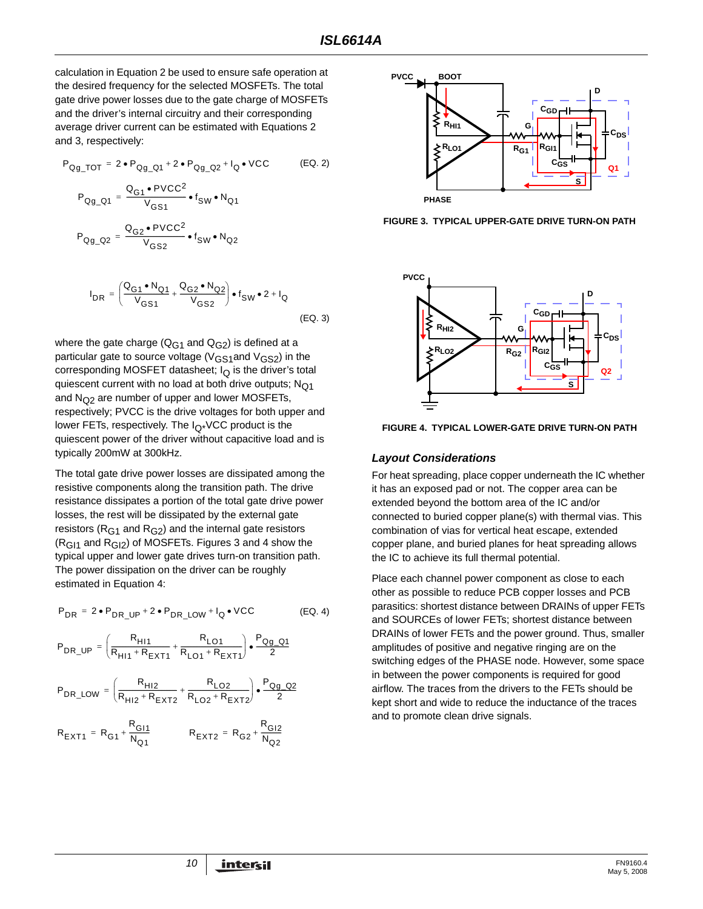calculation in Equation 2 be used to ensure safe operation at the desired frequency for the selected MOSFETs. The total gate drive power losses due to the gate charge of MOSFETs and the driver's internal circuitry and their corresponding average driver current can be estimated with Equations 2 and 3, respectively:

$$
P_{Qg\_TOT} = 2 \cdot P_{Qg\_Q1} + 2 \cdot P_{Qg\_Q2} + I_Q \cdot \text{VCC}
$$
 (EQ. 2)  
\n
$$
P_{Qg\_Q1} = \frac{Q_{G1} \cdot \text{PVCC}^2}{V_{GS1}} \cdot f_{SW} \cdot N_{Q1}
$$
  
\n
$$
P_{Qg\_Q2} = \frac{Q_{G2} \cdot \text{PVCC}^2}{V_{GS2}} \cdot f_{SW} \cdot N_{Q2}
$$
  
\n
$$
I_{DR} = \left(\frac{Q_{G1} \cdot N_{Q1}}{V_{GS1}} + \frac{Q_{G2} \cdot N_{Q2}}{V_{GS2}}\right) \cdot f_{SW} \cdot 2 + I_Q
$$
  
\n(EQ. 3)

where the gate charge ( $Q_{G1}$  and  $Q_{G2}$ ) is defined at a particular gate to source voltage ( $V_{GS1}$ and  $V_{GS2}$ ) in the corresponding MOSFET datasheet;  $I<sub>O</sub>$  is the driver's total quiescent current with no load at both drive outputs;  $N<sub>O1</sub>$ and  $N_{Q2}$  are number of upper and lower MOSFETs, respectively; PVCC is the drive voltages for both upper and lower FETs, respectively. The  $I_{\Omega^*}$ VCC product is the quiescent power of the driver without capacitive load and is typically 200mW at 300kHz.

The total gate drive power losses are dissipated among the resistive components along the transition path. The drive resistance dissipates a portion of the total gate drive power losses, the rest will be dissipated by the external gate resistors ( $R<sub>G1</sub>$  and  $R<sub>G2</sub>$ ) and the internal gate resistors  $(R<sub>G11</sub>$  and  $R<sub>G12</sub>$ ) of MOSFETs. Figures 3 and 4 show the typical upper and lower gate drives turn-on transition path. The power dissipation on the driver can be roughly estimated in Equation [4:](#page-9-1)

$$
P_{DR} = 2 \cdot P_{DR\_UP} + 2 \cdot P_{DR\_LOW} + I_Q \cdot VCC
$$
 (EQ. 4)

$$
P_{DR\_UP} = \left(\frac{R_{H11}}{R_{H11} + R_{EXT1}} + \frac{R_{LO1}}{R_{LO1} + R_{EXT1}}\right) \bullet \frac{P_{Qg\_Q1}}{2}
$$

$$
P_{\text{DR\_LOW}} = \left(\frac{R_{\text{H12}}}{R_{\text{H12}} + R_{\text{EXT2}}} + \frac{R_{\text{LO2}}}{R_{\text{LO2}} + R_{\text{EXT2}}}\right) \bullet \frac{P_{\text{Qg\_Q2}}}{2}
$$

$$
R_{\text{EXT}1} = R_{\text{G}1} + \frac{R_{\text{G}11}}{N_{\text{Q}1}} \qquad R_{\text{EXT}2} = R_{\text{G}2} + \frac{R_{\text{G}12}}{N_{\text{Q}2}}
$$



**FIGURE 3. TYPICAL UPPER-GATE DRIVE TURN-ON PATH**



**FIGURE 4. TYPICAL LOWER-GATE DRIVE TURN-ON PATH**

#### <span id="page-9-0"></span>*Layout Considerations*

For heat spreading, place copper underneath the IC whether it has an exposed pad or not. The copper area can be extended beyond the bottom area of the IC and/or connected to buried copper plane(s) with thermal vias. This combination of vias for vertical heat escape, extended copper plane, and buried planes for heat spreading allows the IC to achieve its full thermal potential.

<span id="page-9-1"></span>Place each channel power component as close to each other as possible to reduce PCB copper losses and PCB parasitics: shortest distance between DRAINs of upper FETs and SOURCEs of lower FETs; shortest distance between DRAINs of lower FETs and the power ground. Thus, smaller amplitudes of positive and negative ringing are on the switching edges of the PHASE node. However, some space in between the power components is required for good airflow. The traces from the drivers to the FETs should be kept short and wide to reduce the inductance of the traces and to promote clean drive signals.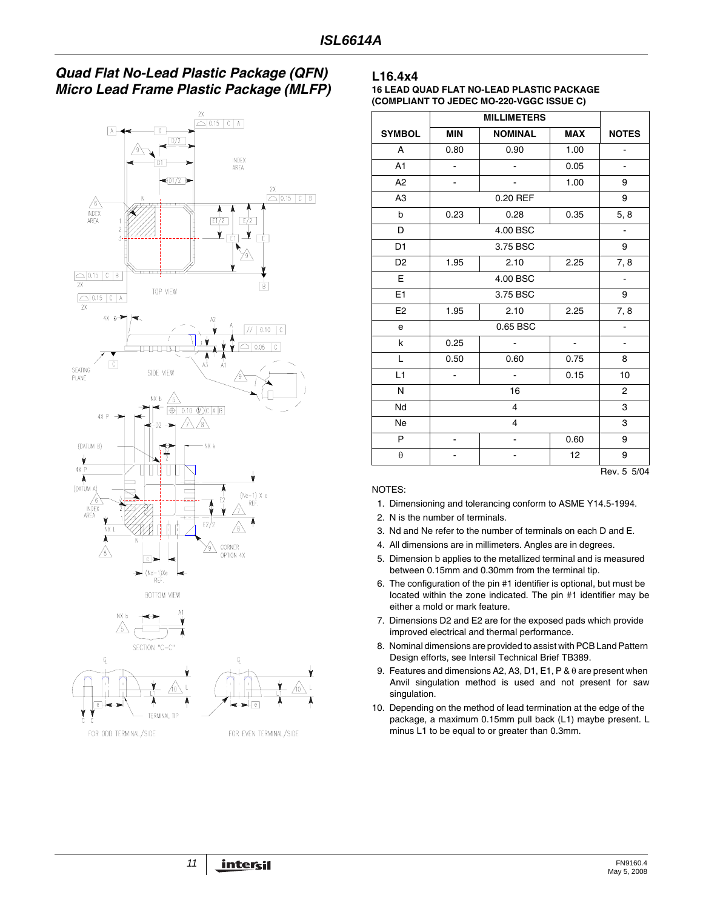## *Quad Flat No-Lead Plastic Package (QFN) Micro Lead Frame Plastic Package (MLFP)*





#### **L16.4x4**

**16 LEAD QUAD FLAT NO-LEAD PLASTIC PACKAGE (COMPLIANT TO JEDEC MO-220-VGGC ISSUE C)**

| <b>SYMBOL</b>  | <b>MIN</b>               | <b>NOMINAL</b><br><b>MAX</b> |                | <b>NOTES</b>         |  |  |
|----------------|--------------------------|------------------------------|----------------|----------------------|--|--|
| A              | 0.80                     | 0.90                         | 1.00           |                      |  |  |
| A1             | ä,                       | ä,                           | 0.05           | $\overline{a}$       |  |  |
| A <sub>2</sub> | $\blacksquare$           | ÷,                           | 1.00           | 9                    |  |  |
| A <sub>3</sub> |                          | 0.20 REF                     |                | 9                    |  |  |
| b              | 0.23                     | 0.28                         | 0.35           | 5, 8                 |  |  |
| D              |                          | 4.00 BSC                     |                | $\ddot{\phantom{a}}$ |  |  |
| D <sub>1</sub> |                          | 3.75 BSC                     |                | 9                    |  |  |
| D <sub>2</sub> | 1.95                     | 2.10<br>2.25                 |                |                      |  |  |
| E              |                          | 4.00 BSC                     |                |                      |  |  |
| E <sub>1</sub> |                          | 3.75 BSC                     |                |                      |  |  |
| E <sub>2</sub> | 1.95                     | 2.10<br>2.25                 |                |                      |  |  |
| e              |                          | 0.65 BSC                     |                |                      |  |  |
| k              | 0.25                     | ä,                           | $\blacksquare$ | $\overline{a}$       |  |  |
| L              | 0.50                     | 0.60                         | 0.75           | 8                    |  |  |
| L1             | $\overline{\phantom{0}}$ | 0.15<br>$\blacksquare$       |                |                      |  |  |
| N              |                          | 16                           |                |                      |  |  |
| Nd             |                          | $\overline{4}$               |                |                      |  |  |
| <b>Ne</b>      |                          | 4                            |                |                      |  |  |
| P              |                          |                              | 0.60           | 9                    |  |  |
| $\theta$       |                          | 12                           |                |                      |  |  |

#### NOTES:

- 1. Dimensioning and tolerancing conform to ASME Y14.5-1994.
- 2. N is the number of terminals.
- 3. Nd and Ne refer to the number of terminals on each D and E.
- 4. All dimensions are in millimeters. Angles are in degrees.
- 5. Dimension b applies to the metallized terminal and is measured between 0.15mm and 0.30mm from the terminal tip.
- 6. The configuration of the pin #1 identifier is optional, but must be located within the zone indicated. The pin #1 identifier may be either a mold or mark feature.
- 7. Dimensions D2 and E2 are for the exposed pads which provide improved electrical and thermal performance.
- 8. Nominal dimensions are provided to assist with PCB Land Pattern Design efforts, see Intersil Technical Brief TB389.
- 9. Features and dimensions A2, A3, D1, E1, P & θ are present when Anvil singulation method is used and not present for saw singulation.
- 10. Depending on the method of lead termination at the edge of the package, a maximum 0.15mm pull back (L1) maybe present. L minus L1 to be equal to or greater than 0.3mm.